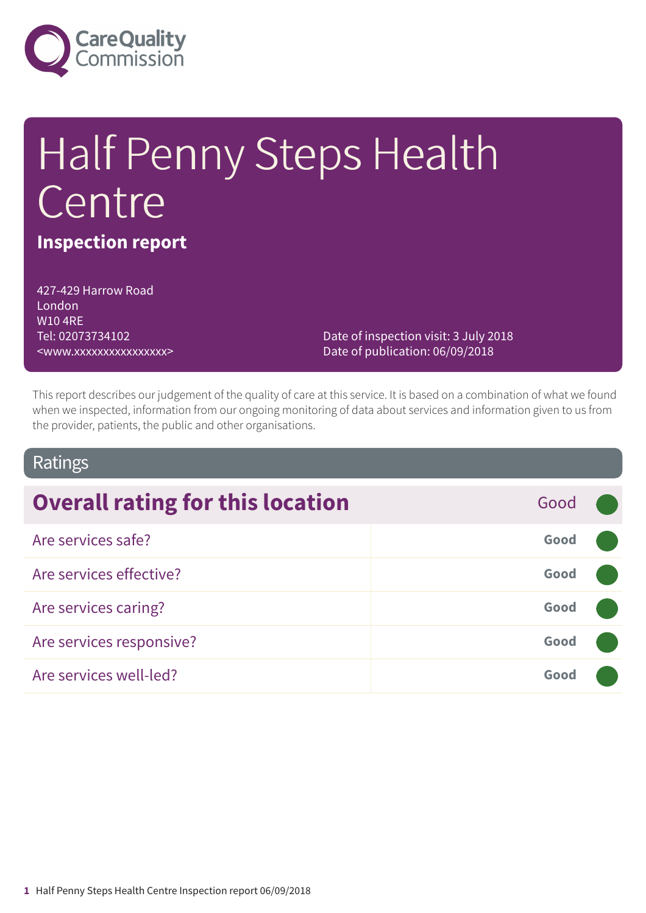

# Half Penny Steps Health Centre

### **Inspection report**

427-429 Harrow Road London W10 4RE Tel: 02073734102 <www.xxxxxxxxxxxxxxxx>

Date of inspection visit: 3 July 2018 Date of publication: 06/09/2018

This report describes our judgement of the quality of care at this service. It is based on a combination of what we found when we inspected, information from our ongoing monitoring of data about services and information given to us from the provider, patients, the public and other organisations.

### Ratings

| <b>Overall rating for this location</b> | Good |  |
|-----------------------------------------|------|--|
| Are services safe?                      | Good |  |
| Are services effective?                 | Good |  |
| Are services caring?                    | Good |  |
| Are services responsive?                | Good |  |
| Are services well-led?                  | Good |  |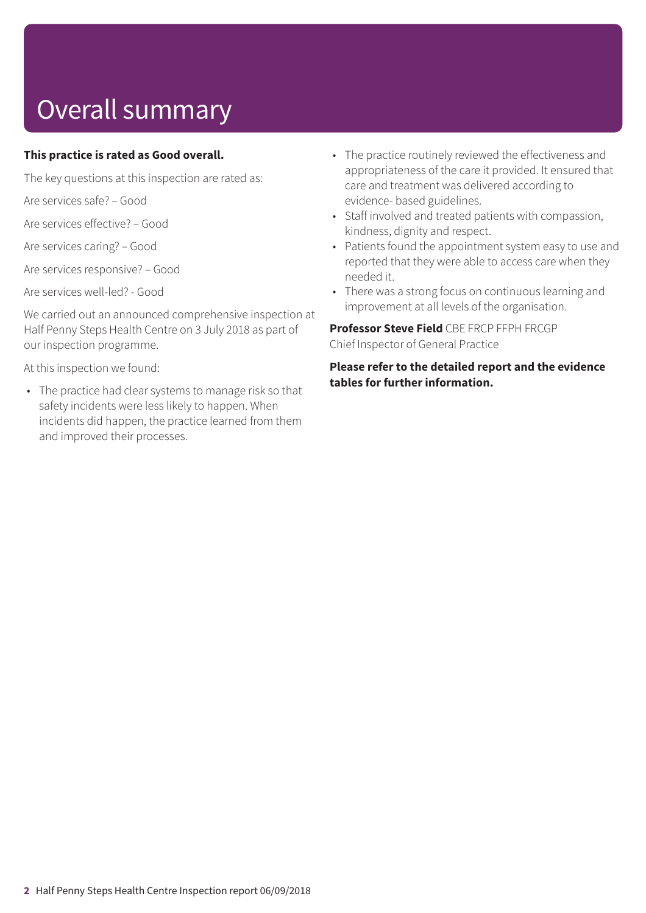# Overall summary

### **This practice is rated as Good overall.**

The key questions at this inspection are rated as:

Are services safe? – Good

Are services effective? – Good

Are services caring? – Good

Are services responsive? – Good

Are services well-led? - Good

We carried out an announced comprehensive inspection at Half Penny Steps Health Centre on 3 July 2018 as part of our inspection programme.

At this inspection we found:

• The practice had clear systems to manage risk so that safety incidents were less likely to happen. When incidents did happen, the practice learned from them and improved their processes.

- The practice routinely reviewed the effectiveness and appropriateness of the care it provided. It ensured that care and treatment was delivered according to evidence- based guidelines.
- Staff involved and treated patients with compassion, kindness, dignity and respect.
- Patients found the appointment system easy to use and reported that they were able to access care when they needed it.
- There was a strong focus on continuous learning and improvement at all levels of the organisation.

**Professor Steve Field** CBE FRCP FFPH FRCGP Chief Inspector of General Practice

**Please refer to the detailed report and the evidence tables for further information.**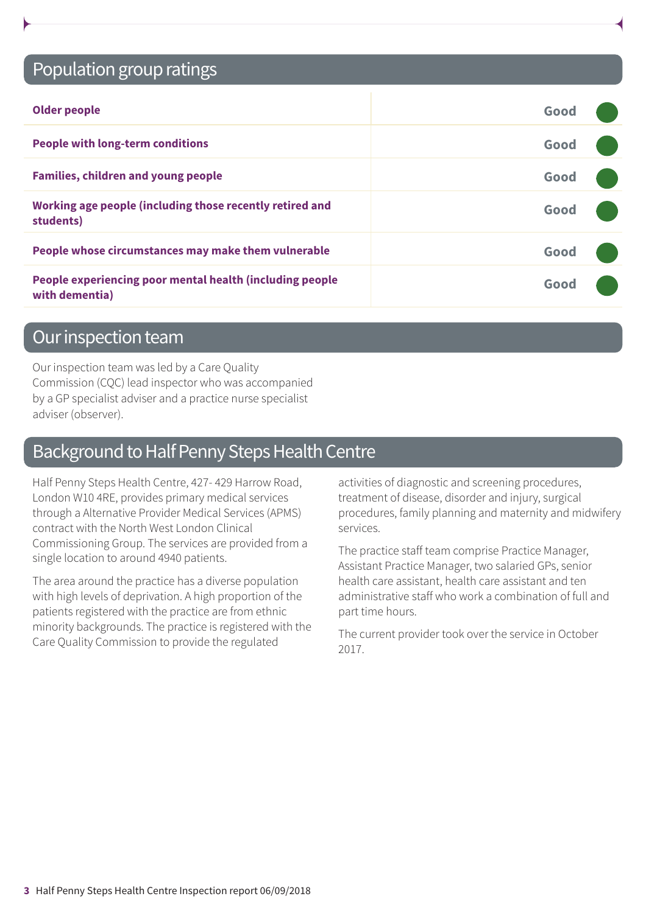### Population group ratings

| <b>Older people</b>                                                        | Good |  |
|----------------------------------------------------------------------------|------|--|
| <b>People with long-term conditions</b>                                    | Good |  |
| <b>Families, children and young people</b>                                 | Good |  |
| Working age people (including those recently retired and<br>students)      | Good |  |
| People whose circumstances may make them vulnerable                        | Good |  |
| People experiencing poor mental health (including people<br>with dementia) | Good |  |

### Our inspection team

Our inspection team was led by a Care Quality Commission (CQC) lead inspector who was accompanied by a GP specialist adviser and a practice nurse specialist adviser (observer).

### Background to Half Penny Steps Health Centre

Half Penny Steps Health Centre, 427- 429 Harrow Road, London W10 4RE, provides primary medical services through a Alternative Provider Medical Services (APMS) contract with the North West London Clinical Commissioning Group. The services are provided from a single location to around 4940 patients.

The area around the practice has a diverse population with high levels of deprivation. A high proportion of the patients registered with the practice are from ethnic minority backgrounds. The practice is registered with the Care Quality Commission to provide the regulated

activities of diagnostic and screening procedures, treatment of disease, disorder and injury, surgical procedures, family planning and maternity and midwifery services.

The practice staff team comprise Practice Manager, Assistant Practice Manager, two salaried GPs, senior health care assistant, health care assistant and ten administrative staff who work a combination of full and part time hours.

The current provider took over the service in October 2017.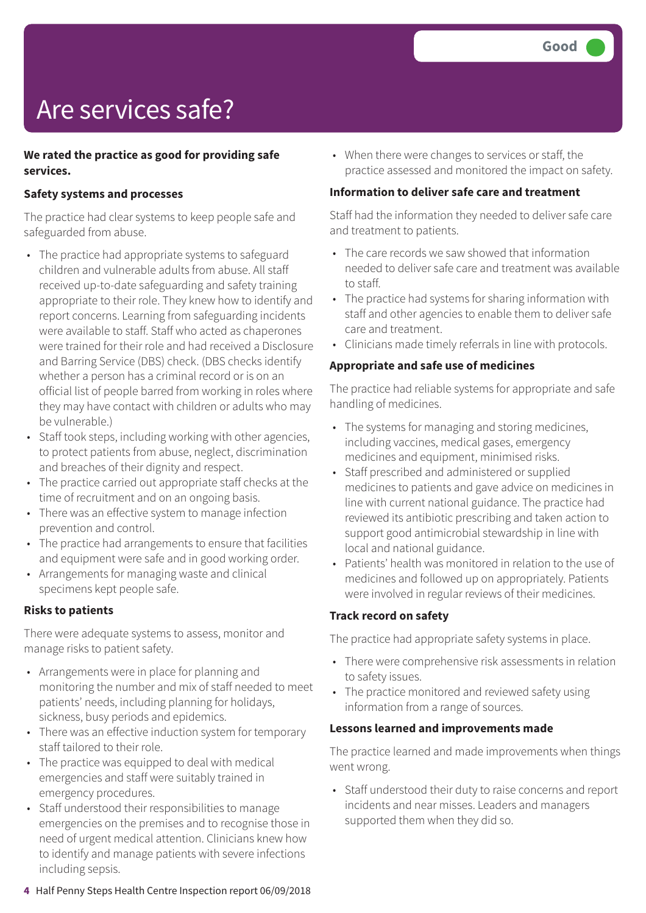# Are services safe?

### **We rated the practice as good for providing safe services.**

### **Safety systems and processes**

The practice had clear systems to keep people safe and safeguarded from abuse.

- The practice had appropriate systems to safeguard children and vulnerable adults from abuse. All staff received up-to-date safeguarding and safety training appropriate to their role. They knew how to identify and report concerns. Learning from safeguarding incidents were available to staff. Staff who acted as chaperones were trained for their role and had received a Disclosure and Barring Service (DBS) check. (DBS checks identify whether a person has a criminal record or is on an official list of people barred from working in roles where they may have contact with children or adults who may be vulnerable.)
- Staff took steps, including working with other agencies, to protect patients from abuse, neglect, discrimination and breaches of their dignity and respect.
- The practice carried out appropriate staff checks at the time of recruitment and on an ongoing basis.
- There was an effective system to manage infection prevention and control.
- The practice had arrangements to ensure that facilities and equipment were safe and in good working order.
- Arrangements for managing waste and clinical specimens kept people safe.

#### **Risks to patients**

There were adequate systems to assess, monitor and manage risks to patient safety.

- Arrangements were in place for planning and monitoring the number and mix of staff needed to meet patients' needs, including planning for holidays, sickness, busy periods and epidemics.
- There was an effective induction system for temporary staff tailored to their role.
- The practice was equipped to deal with medical emergencies and staff were suitably trained in emergency procedures.
- Staff understood their responsibilities to manage emergencies on the premises and to recognise those in need of urgent medical attention. Clinicians knew how to identify and manage patients with severe infections including sepsis.

• When there were changes to services or staff, the practice assessed and monitored the impact on safety.

#### **Information to deliver safe care and treatment**

Staff had the information they needed to deliver safe care and treatment to patients.

- The care records we saw showed that information needed to deliver safe care and treatment was available to staff.
- The practice had systems for sharing information with staff and other agencies to enable them to deliver safe care and treatment.
- Clinicians made timely referrals in line with protocols.

#### **Appropriate and safe use of medicines**

The practice had reliable systems for appropriate and safe handling of medicines.

- The systems for managing and storing medicines, including vaccines, medical gases, emergency medicines and equipment, minimised risks.
- Staff prescribed and administered or supplied medicines to patients and gave advice on medicines in line with current national guidance. The practice had reviewed its antibiotic prescribing and taken action to support good antimicrobial stewardship in line with local and national guidance.
- Patients' health was monitored in relation to the use of medicines and followed up on appropriately. Patients were involved in regular reviews of their medicines.

#### **Track record on safety**

The practice had appropriate safety systems in place.

- There were comprehensive risk assessments in relation to safety issues.
- The practice monitored and reviewed safety using information from a range of sources.

#### **Lessons learned and improvements made**

The practice learned and made improvements when things went wrong.

• Staff understood their duty to raise concerns and report incidents and near misses. Leaders and managers supported them when they did so.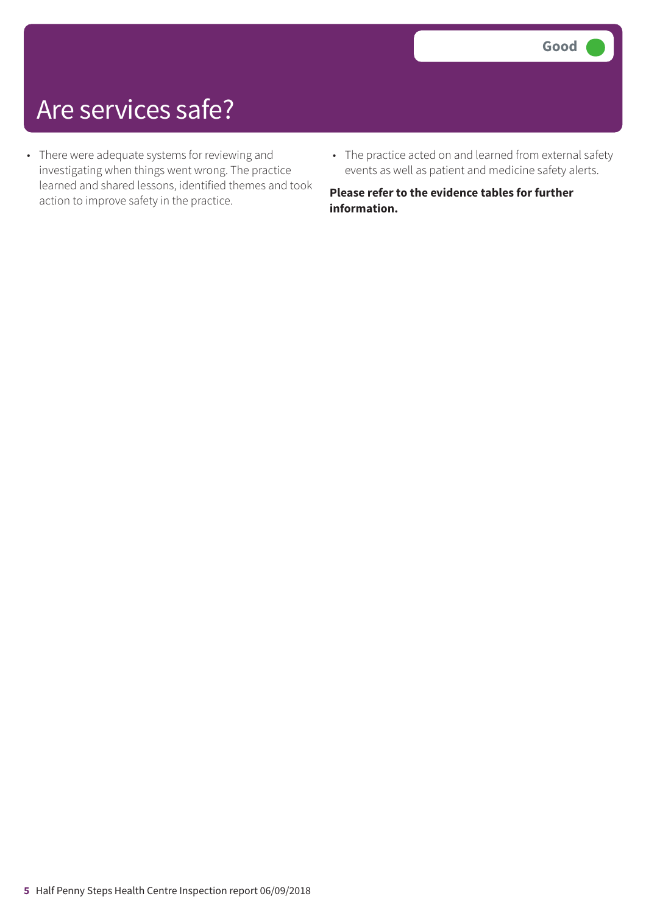### Are services safe?

- There were adequate systems for reviewing and investigating when things went wrong. The practice learned and shared lessons, identified themes and took action to improve safety in the practice.
- The practice acted on and learned from external safety events as well as patient and medicine safety alerts.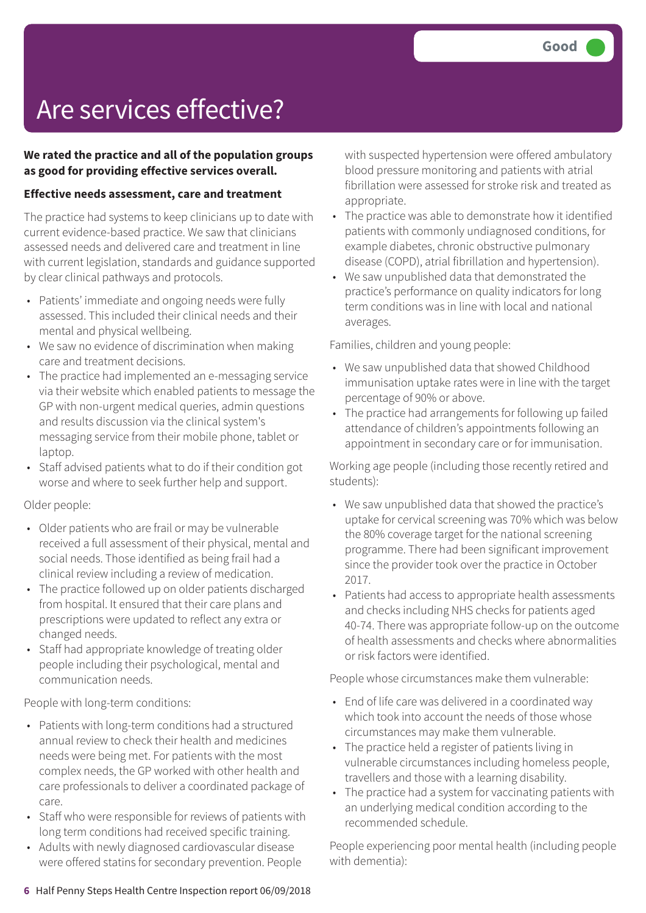## Are services effective?

### **We rated the practice and all of the population groups as good for providing effective services overall.**

### **Effective needs assessment, care and treatment**

The practice had systems to keep clinicians up to date with current evidence-based practice. We saw that clinicians assessed needs and delivered care and treatment in line with current legislation, standards and guidance supported by clear clinical pathways and protocols.

- Patients' immediate and ongoing needs were fully assessed. This included their clinical needs and their mental and physical wellbeing.
- We saw no evidence of discrimination when making care and treatment decisions.
- The practice had implemented an e-messaging service via their website which enabled patients to message the GP with non-urgent medical queries, admin questions and results discussion via the clinical system's messaging service from their mobile phone, tablet or laptop.
- Staff advised patients what to do if their condition got worse and where to seek further help and support.

#### Older people:

- Older patients who are frail or may be vulnerable received a full assessment of their physical, mental and social needs. Those identified as being frail had a clinical review including a review of medication.
- The practice followed up on older patients discharged from hospital. It ensured that their care plans and prescriptions were updated to reflect any extra or changed needs.
- Staff had appropriate knowledge of treating older people including their psychological, mental and communication needs.

People with long-term conditions:

- Patients with long-term conditions had a structured annual review to check their health and medicines needs were being met. For patients with the most complex needs, the GP worked with other health and care professionals to deliver a coordinated package of care.
- Staff who were responsible for reviews of patients with long term conditions had received specific training.
- Adults with newly diagnosed cardiovascular disease were offered statins for secondary prevention. People

with suspected hypertension were offered ambulatory blood pressure monitoring and patients with atrial fibrillation were assessed for stroke risk and treated as appropriate.

- The practice was able to demonstrate how it identified patients with commonly undiagnosed conditions, for example diabetes, chronic obstructive pulmonary disease (COPD), atrial fibrillation and hypertension).
- We saw unpublished data that demonstrated the practice's performance on quality indicators for long term conditions was in line with local and national averages.

Families, children and young people:

- We saw unpublished data that showed Childhood immunisation uptake rates were in line with the target percentage of 90% or above.
- The practice had arrangements for following up failed attendance of children's appointments following an appointment in secondary care or for immunisation.

Working age people (including those recently retired and students):

- We saw unpublished data that showed the practice's uptake for cervical screening was 70% which was below the 80% coverage target for the national screening programme. There had been significant improvement since the provider took over the practice in October 2017.
- Patients had access to appropriate health assessments and checks including NHS checks for patients aged 40-74. There was appropriate follow-up on the outcome of health assessments and checks where abnormalities or risk factors were identified.

People whose circumstances make them vulnerable:

- End of life care was delivered in a coordinated way which took into account the needs of those whose circumstances may make them vulnerable.
- The practice held a register of patients living in vulnerable circumstances including homeless people, travellers and those with a learning disability.
- The practice had a system for vaccinating patients with an underlying medical condition according to the recommended schedule.

People experiencing poor mental health (including people with dementia):

#### **6** Half Penny Steps Health Centre Inspection report 06/09/2018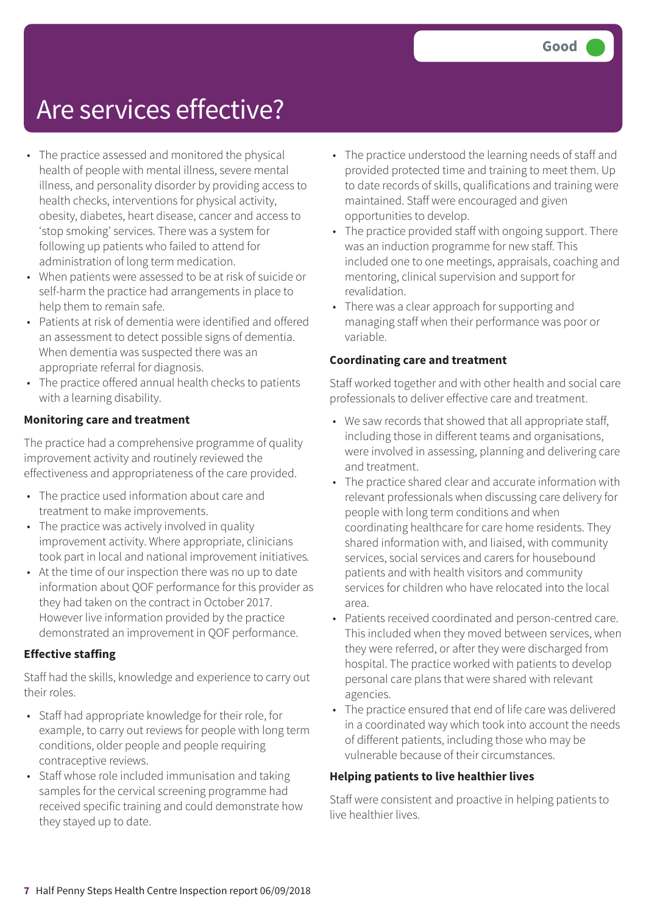### Are services effective?

- The practice assessed and monitored the physical health of people with mental illness, severe mental illness, and personality disorder by providing access to health checks, interventions for physical activity, obesity, diabetes, heart disease, cancer and access to 'stop smoking' services. There was a system for following up patients who failed to attend for administration of long term medication.
- When patients were assessed to be at risk of suicide or self-harm the practice had arrangements in place to help them to remain safe.
- Patients at risk of dementia were identified and offered an assessment to detect possible signs of dementia. When dementia was suspected there was an appropriate referral for diagnosis.
- The practice offered annual health checks to patients with a learning disability.

### **Monitoring care and treatment**

The practice had a comprehensive programme of quality improvement activity and routinely reviewed the effectiveness and appropriateness of the care provided.

- The practice used information about care and treatment to make improvements.
- The practice was actively involved in quality improvement activity. Where appropriate, clinicians took part in local and national improvement initiatives*.*
- At the time of our inspection there was no up to date information about QOF performance for this provider as they had taken on the contract in October 2017. However live information provided by the practice demonstrated an improvement in QOF performance.

### **Effective staffing**

Staff had the skills, knowledge and experience to carry out their roles.

- Staff had appropriate knowledge for their role, for example, to carry out reviews for people with long term conditions, older people and people requiring contraceptive reviews.
- Staff whose role included immunisation and taking samples for the cervical screening programme had received specific training and could demonstrate how they stayed up to date.
- The practice understood the learning needs of staff and provided protected time and training to meet them. Up to date records of skills, qualifications and training were maintained. Staff were encouraged and given opportunities to develop.
- The practice provided staff with ongoing support. There was an induction programme for new staff. This included one to one meetings, appraisals, coaching and mentoring, clinical supervision and support for revalidation.
- There was a clear approach for supporting and managing staff when their performance was poor or variable.

### **Coordinating care and treatment**

Staff worked together and with other health and social care professionals to deliver effective care and treatment.

- We saw records that showed that all appropriate staff, including those in different teams and organisations, were involved in assessing, planning and delivering care and treatment.
- The practice shared clear and accurate information with relevant professionals when discussing care delivery for people with long term conditions and when coordinating healthcare for care home residents. They shared information with, and liaised, with community services, social services and carers for housebound patients and with health visitors and community services for children who have relocated into the local area.
- Patients received coordinated and person-centred care. This included when they moved between services, when they were referred, or after they were discharged from hospital. The practice worked with patients to develop personal care plans that were shared with relevant agencies.
- The practice ensured that end of life care was delivered in a coordinated way which took into account the needs of different patients, including those who may be vulnerable because of their circumstances.

#### **Helping patients to live healthier lives**

Staff were consistent and proactive in helping patients to live healthier lives.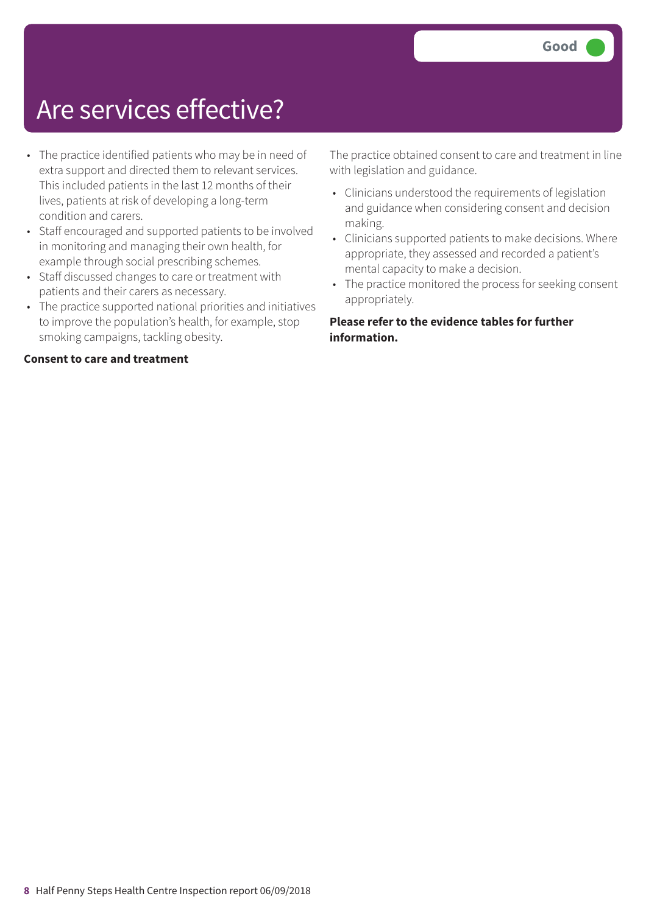### Are services effective?

- The practice identified patients who may be in need of extra support and directed them to relevant services. This included patients in the last 12 months of their lives, patients at risk of developing a long-term condition and carers.
- Staff encouraged and supported patients to be involved in monitoring and managing their own health, for example through social prescribing schemes.
- Staff discussed changes to care or treatment with patients and their carers as necessary.
- The practice supported national priorities and initiatives to improve the population's health, for example, stop smoking campaigns, tackling obesity.

### **Consent to care and treatment**

The practice obtained consent to care and treatment in line with legislation and guidance.

- Clinicians understood the requirements of legislation and guidance when considering consent and decision making.
- Clinicians supported patients to make decisions. Where appropriate, they assessed and recorded a patient's mental capacity to make a decision.
- The practice monitored the process for seeking consent appropriately.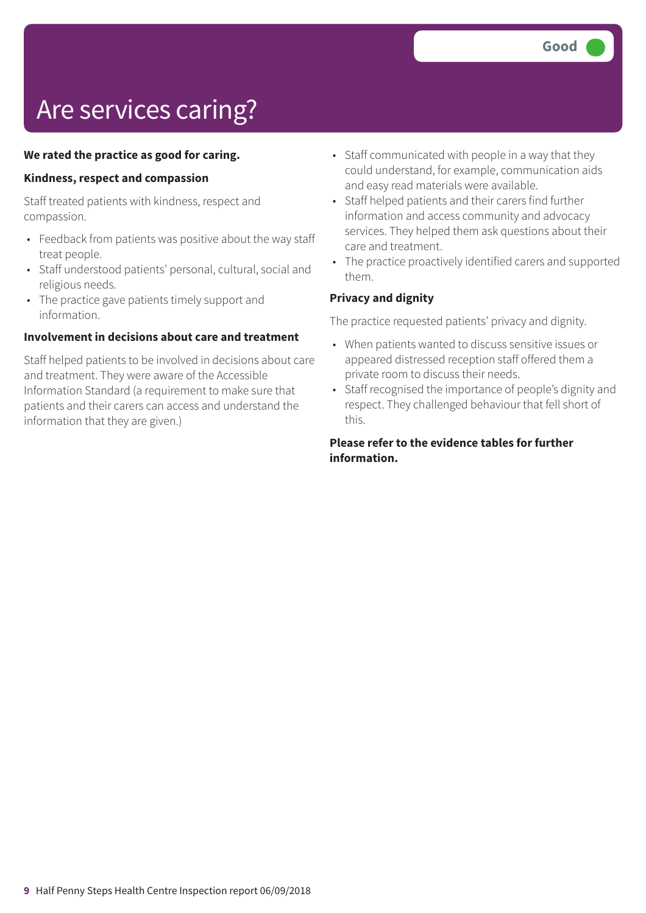# Are services caring?

### **We rated the practice as good for caring.**

#### **Kindness, respect and compassion**

Staff treated patients with kindness, respect and compassion.

- Feedback from patients was positive about the way staff treat people.
- Staff understood patients' personal, cultural, social and religious needs.
- The practice gave patients timely support and information.

#### **Involvement in decisions about care and treatment**

Staff helped patients to be involved in decisions about care and treatment. They were aware of the Accessible Information Standard (a requirement to make sure that patients and their carers can access and understand the information that they are given.)

- Staff communicated with people in a way that they could understand, for example, communication aids and easy read materials were available.
- Staff helped patients and their carers find further information and access community and advocacy services. They helped them ask questions about their care and treatment.
- The practice proactively identified carers and supported them.

### **Privacy and dignity**

The practice requested patients' privacy and dignity.

- When patients wanted to discuss sensitive issues or appeared distressed reception staff offered them a private room to discuss their needs.
- Staff recognised the importance of people's dignity and respect. They challenged behaviour that fell short of this.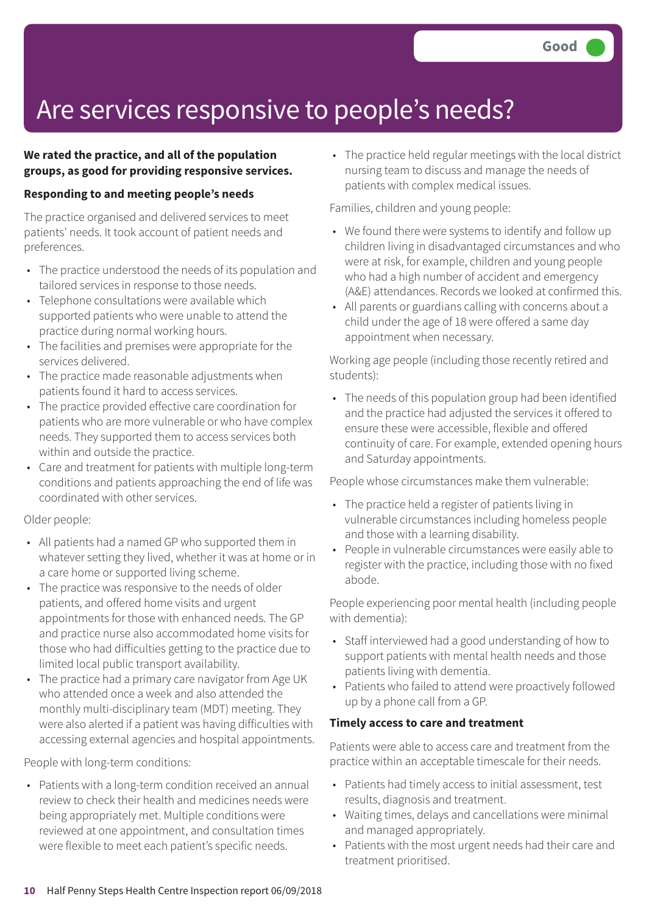## Are services responsive to people's needs?

### **We rated the practice, and all of the population groups, as good for providing responsive services.**

### **Responding to and meeting people's needs**

The practice organised and delivered services to meet patients' needs. It took account of patient needs and preferences.

- The practice understood the needs of its population and tailored services in response to those needs.
- Telephone consultations were available which supported patients who were unable to attend the practice during normal working hours.
- The facilities and premises were appropriate for the services delivered.
- The practice made reasonable adjustments when patients found it hard to access services.
- The practice provided effective care coordination for patients who are more vulnerable or who have complex needs. They supported them to access services both within and outside the practice.
- Care and treatment for patients with multiple long-term conditions and patients approaching the end of life was coordinated with other services.

### Older people:

- All patients had a named GP who supported them in whatever setting they lived, whether it was at home or in a care home or supported living scheme.
- The practice was responsive to the needs of older patients, and offered home visits and urgent appointments for those with enhanced needs. The GP and practice nurse also accommodated home visits for those who had difficulties getting to the practice due to limited local public transport availability.
- The practice had a primary care navigator from Age UK who attended once a week and also attended the monthly multi-disciplinary team (MDT) meeting. They were also alerted if a patient was having difficulties with accessing external agencies and hospital appointments.

People with long-term conditions:

• Patients with a long-term condition received an annual review to check their health and medicines needs were being appropriately met. Multiple conditions were reviewed at one appointment, and consultation times were flexible to meet each patient's specific needs.

• The practice held regular meetings with the local district nursing team to discuss and manage the needs of patients with complex medical issues.

Families, children and young people:

- We found there were systems to identify and follow up children living in disadvantaged circumstances and who were at risk, for example, children and young people who had a high number of accident and emergency (A&E) attendances. Records we looked at confirmed this.
- All parents or guardians calling with concerns about a child under the age of 18 were offered a same day appointment when necessary.

Working age people (including those recently retired and students):

• The needs of this population group had been identified and the practice had adjusted the services it offered to ensure these were accessible, flexible and offered continuity of care. For example, extended opening hours and Saturday appointments.

People whose circumstances make them vulnerable:

- The practice held a register of patients living in vulnerable circumstances including homeless people and those with a learning disability.
- People in vulnerable circumstances were easily able to register with the practice, including those with no fixed abode.

People experiencing poor mental health (including people with dementia):

- Staff interviewed had a good understanding of how to support patients with mental health needs and those patients living with dementia.
- Patients who failed to attend were proactively followed up by a phone call from a GP.

### **Timely access to care and treatment**

Patients were able to access care and treatment from the practice within an acceptable timescale for their needs.

- Patients had timely access to initial assessment, test results, diagnosis and treatment.
- Waiting times, delays and cancellations were minimal and managed appropriately.
- Patients with the most urgent needs had their care and treatment prioritised.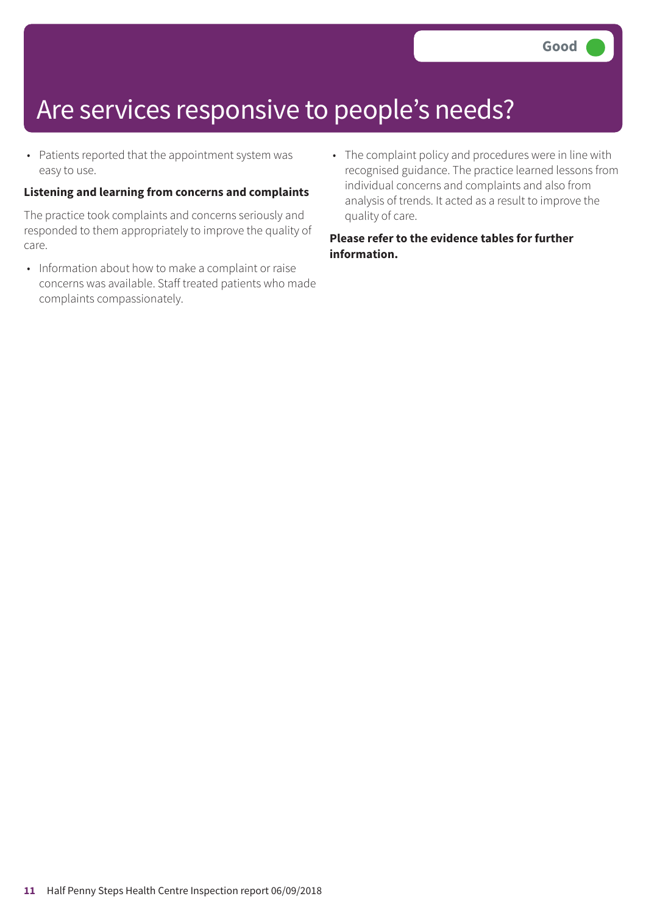### Are services responsive to people's needs?

• Patients reported that the appointment system was easy to use.

### **Listening and learning from concerns and complaints**

The practice took complaints and concerns seriously and responded to them appropriately to improve the quality of care.

- Information about how to make a complaint or raise concerns was available. Staff treated patients who made complaints compassionately.
- The complaint policy and procedures were in line with recognised guidance. The practice learned lessons from individual concerns and complaints and also from analysis of trends. It acted as a result to improve the quality of care.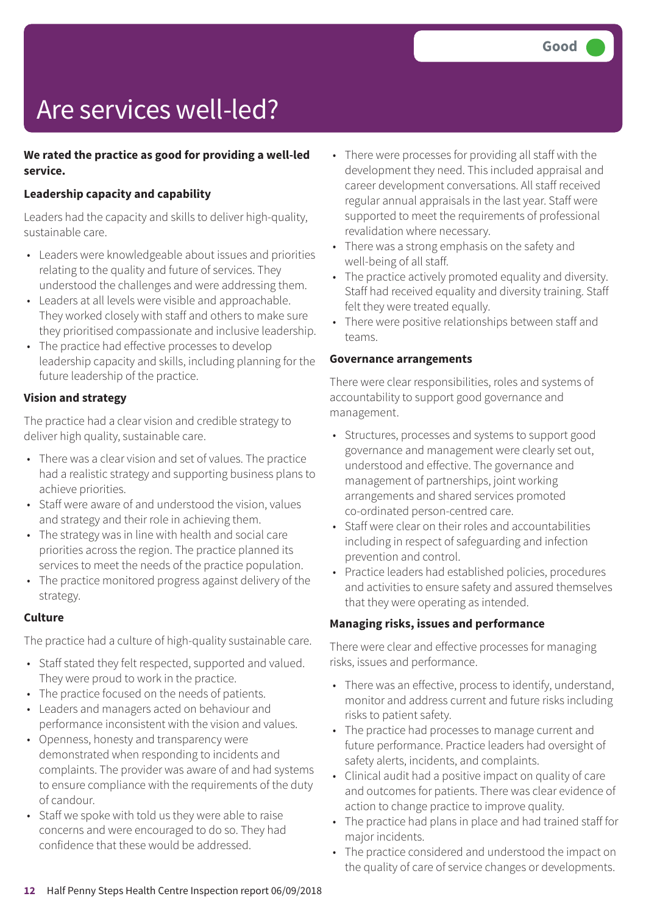# Are services well-led?

### **We rated the practice as good for providing a well-led service.**

### **Leadership capacity and capability**

Leaders had the capacity and skills to deliver high-quality, sustainable care.

- Leaders were knowledgeable about issues and priorities relating to the quality and future of services. They understood the challenges and were addressing them.
- Leaders at all levels were visible and approachable. They worked closely with staff and others to make sure they prioritised compassionate and inclusive leadership.
- The practice had effective processes to develop leadership capacity and skills, including planning for the future leadership of the practice.

### **Vision and strategy**

The practice had a clear vision and credible strategy to deliver high quality, sustainable care.

- There was a clear vision and set of values. The practice had a realistic strategy and supporting business plans to achieve priorities.
- Staff were aware of and understood the vision, values and strategy and their role in achieving them.
- The strategy was in line with health and social care priorities across the region. The practice planned its services to meet the needs of the practice population.
- The practice monitored progress against delivery of the strategy.

### **Culture**

The practice had a culture of high-quality sustainable care.

- Staff stated they felt respected, supported and valued. They were proud to work in the practice.
- The practice focused on the needs of patients.
- Leaders and managers acted on behaviour and performance inconsistent with the vision and values.
- Openness, honesty and transparency were demonstrated when responding to incidents and complaints. The provider was aware of and had systems to ensure compliance with the requirements of the duty of candour.
- Staff we spoke with told us they were able to raise concerns and were encouraged to do so. They had confidence that these would be addressed.
- There were processes for providing all staff with the development they need. This included appraisal and career development conversations. All staff received regular annual appraisals in the last year. Staff were supported to meet the requirements of professional revalidation where necessary.
- There was a strong emphasis on the safety and well-being of all staff.
- The practice actively promoted equality and diversity. Staff had received equality and diversity training. Staff felt they were treated equally.
- There were positive relationships between staff and teams.

### **Governance arrangements**

There were clear responsibilities, roles and systems of accountability to support good governance and management.

- Structures, processes and systems to support good governance and management were clearly set out, understood and effective. The governance and management of partnerships, joint working arrangements and shared services promoted co-ordinated person-centred care.
- Staff were clear on their roles and accountabilities including in respect of safeguarding and infection prevention and control.
- Practice leaders had established policies, procedures and activities to ensure safety and assured themselves that they were operating as intended.

### **Managing risks, issues and performance**

There were clear and effective processes for managing risks, issues and performance.

- There was an effective, process to identify, understand, monitor and address current and future risks including risks to patient safety.
- The practice had processes to manage current and future performance. Practice leaders had oversight of safety alerts, incidents, and complaints.
- Clinical audit had a positive impact on quality of care and outcomes for patients. There was clear evidence of action to change practice to improve quality.
- The practice had plans in place and had trained staff for major incidents.
- The practice considered and understood the impact on the quality of care of service changes or developments.